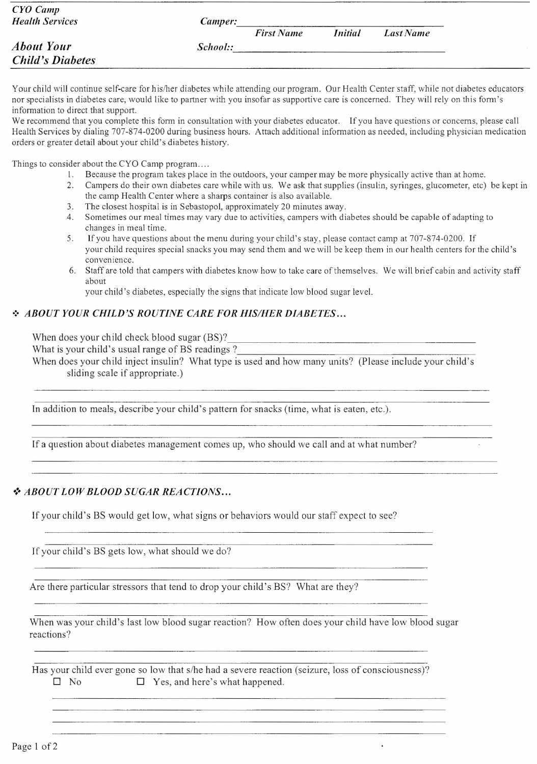| CYO Camp<br><b>Health Services</b> | Camper:         |                   |         |           |
|------------------------------------|-----------------|-------------------|---------|-----------|
|                                    |                 | <b>First Name</b> | Initial | Last Name |
| <b>About Your</b>                  | <i>School::</i> |                   |         |           |
| <b>Child's Diabetes</b>            |                 |                   |         |           |

Your child will continue self-care for his/her diabetes while attending our program. Our Health Center staff, while not diabetes educators nor specialists in diabetes care, would like to partner with you insofar as supportive care is concerned. They will rely on this form's information to direct that support.

We recommend that you complete this form in consultation with your diabetes educator. If you have questions or concerns, please call Health Services by dialing 707-874-0200 during business hours. Attach additional information as needed, including physician medication orders or greater detail about your child's diabetes history.

Things to consider about the CYO Camp program....

- 1. Because the program takes place in the outdoors, your camper may be more physically active than at home.
- 2. Campers do their own diabetes care while with us. We ask that supplies (insulin, syringes, glucometer, etc) be kept in the camp Health Center where a sharps container is also available.
- 3. The closest hospital is in Sebastopol, approximately 20 minutes away.
- 4. Sometimes our meal times may vary due to activities, campers with diabetes should be capable of adapting to changes in meal time.
- *S.* [fyou have questions about the menu during your child's stay, please contact camp at 707-874-0200. [f your child requires special snacks you may send them and we will be keep them in our health centers for the child's convenience.
- 6. Staff are told that campers with diabetes know how to take care of themselves. We will brief cabin and activity staff about

your child's diabetes, especially the signs that indicate low blood sugar level.

## *.:. ABOUT YOUR CHILD'S ROUTINE CARE FOR HIS/HER DIABETES ...*

When does your child check blood sugar (BS)?

What is your child's usual range of BS readings ?

When does your child inject insulin? What type is used and how many units? (Please include your child's sliding scale if appropriate.)

In addition to meals, describe your child's pattern for snacks (time, what is eaten, etc.).

If a question about diabetes management comes up, who should we call and at what number?

## *.:. ABOUT LOW BLOOD SUGAR REACTIONS ...*

If your child's BS would get low, what signs or behaviors would our staff expect to see?

If your child's BS gets low, what should we do?

Are there particular stressors that tend to drop your child's BS? What are they?

When was your child's last low blood sugar reaction? How often does your child have low blood sugar reactions?

 $\mathcal{L}$ 

Has your child ever gone so low that s/he had a severe reaction (seizure, loss of consciousness)?  $\Box$  No  $\Box$  Yes, and here's what happened.